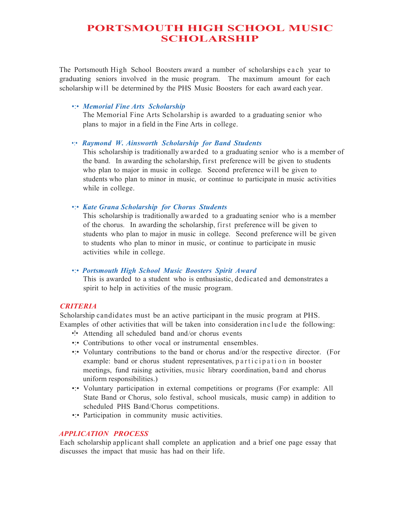# **PORTSMOUTH HIGH SCHOOL MUSIC SCHOLARSHIP**

The Portsmouth High School Boosters award a number of scholarships each year to graduating seniors involved in the music program. The maximum amount for each scholarship will be determined by the PHS Music Boosters for each award each year.

## •:• *Memorial Fine Arts Scholarship*

The Memorial Fine Arts Scholarship is awarded to a graduating senior who plans to major in a field in the Fine Arts in college.

#### •:• *Raymond W. Ainsworth Scholarship for Band Students*

This scholarship is traditionally awarded to a graduating senior who is a member of the band. In awarding the scholarship, first preference will be given to students who plan to major in music in college. Second preference will be given to students who plan to minor in music, or continue to participate in music activities while in college.

## •:• *Kate Grana Scholarship for Chorus Students*

This scholarship is traditionally awarded to a graduating senior who is a member of the chorus. In awarding the scholarship, first preference will be given to students who plan to major in music in college. Second preference will be given to students who plan to minor in music, or continue to participate in music activities while in college.

# •:• *Portsmouth High School Music Boosters Spirit Award*

This is awarded to a student who is enthusiastic, dedicated and demonstrates a spirit to help in activities of the music program.

# *CRITERIA*

Scholarship candidates must be an active participant in the music program at PHS. Examples of other activities that will be taken into consideration include the following:

- •!• Attending all scheduled band and/or chorus events
- •: Contributions to other vocal or instrumental ensembles.
- •:• Voluntary contributions to the band or chorus and/or the respective director. (For example: band or chorus student representatives, participation in booster meetings, fund raising activities, music library coordination, band and chorus uniform responsibilities.)
- •:• Voluntary participation in external competitions or programs (For example: All State Band or Chorus, solo festival, school musicals, music camp) in addition to scheduled PHS Band/Chorus competitions.
- •: Participation in community music activities.

## *APPLICATION PROCESS*

Each scholarship applicant shall complete an application and a brief one page essay that discusses the impact that music has had on their life.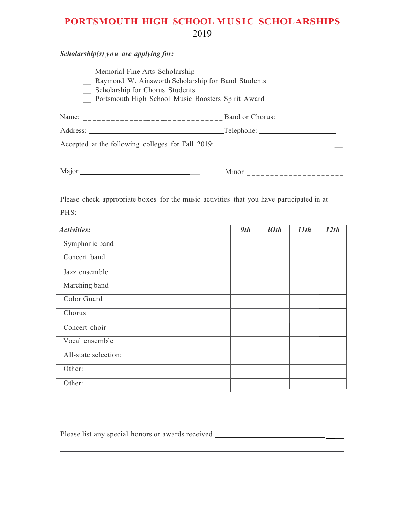# **PORTSMOUTH HIGH SCHOOL MUSIC SCHOLARSHIPS** 2019

*Scholarship(s) you are applying for:*

- \_ Memorial Fine Arts Scholarship
- \_ Raymond W. Ainsworth Scholarship for Band Students
- \_ Scholarship for Chorus Students
- \_ Portsmouth High School Music Boosters Spirit Award

| Name:                                             | Band or Chorus: |
|---------------------------------------------------|-----------------|
| Address:                                          | Telephone:      |
| Accepted at the following colleges for Fall 2019: |                 |
|                                                   |                 |

Major \_ Minor ---------------------

Please check appropriate boxes for the music activities that you have participated in at

PHS:

| Activities:                               | 9th | 10th | 11th | 12th |
|-------------------------------------------|-----|------|------|------|
| Symphonic band                            |     |      |      |      |
| Concert band                              |     |      |      |      |
| Jazz ensemble                             |     |      |      |      |
| Marching band                             |     |      |      |      |
| Color Guard                               |     |      |      |      |
| Chorus                                    |     |      |      |      |
| Concert choir                             |     |      |      |      |
| Vocal ensemble                            |     |      |      |      |
|                                           |     |      |      |      |
|                                           |     |      |      |      |
| Other: <u>International Communication</u> |     |      |      |      |

Please list any special honors or awards received \_\_\_\_\_\_\_\_\_\_\_\_\_\_\_\_\_\_\_\_\_\_\_\_\_\_\_\_\_\_\_